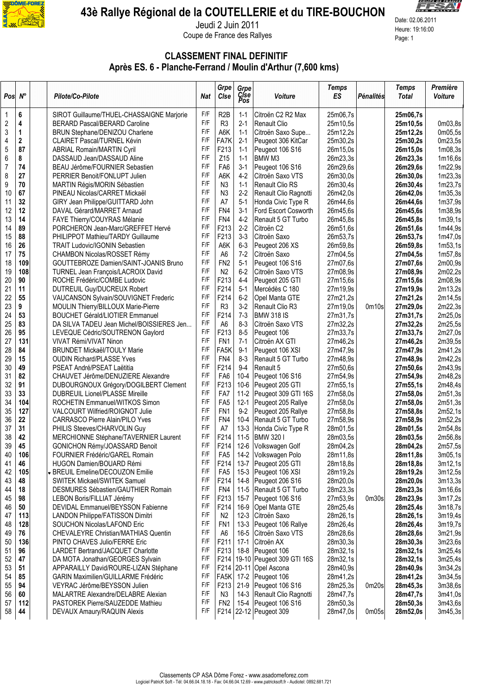

## 43è Rallye Régional de la COUTELLERIE et du TIRE-BOUCHON



 $\frac{1}{\frac{1}{\frac{1}{\frac{1}{\sqrt{1}}}}$  Jeudi 2 Juin 2011 Coupe de France des Rallyes<br>Page: 1

## CLASSEMENT FINAL DEFINITIF Après ES. 6 - Planche-Ferrand / Moulin d'Arthur (7,600 kms)

| $Pos \, N^{\circ}$ |                         | Pilote/Co-Pilote                                                          | Nat        | Grpe<br>Cise                      | Grpe<br>Cise<br>Pos | Voiture                                  | <b>Temps</b><br><b>ES</b> | Pénalités | <b>Temps</b><br><b>Total</b> | Première<br><b>Voiture</b> |
|--------------------|-------------------------|---------------------------------------------------------------------------|------------|-----------------------------------|---------------------|------------------------------------------|---------------------------|-----------|------------------------------|----------------------------|
| 1                  | 6                       | SIROT Guillaume/THUEL-CHASSAIGNE Marjorie                                 | F/F        | R <sub>2</sub> B                  | $1 - 1$             | Citroën C2 R2 Max                        | 25m06,7s                  |           | 25m06,7s                     |                            |
| $\sqrt{2}$         | $\overline{\mathbf{4}}$ | <b>BERARD Pascal/BERARD Caroline</b>                                      | F/F        | R <sub>3</sub>                    | $2 - 1$             | <b>Renault Clio</b>                      | 25m10,5s                  |           | 25m10,5s                     | 0m03,8s                    |
| 3                  | $\mathbf{1}$            | BRUN Stephane/DENIZOU Charlene                                            | F/F        | A6K                               | $1 - 1$             | Citroën Saxo Supe                        | 25m12,2s                  |           | 25m12,2s                     | 0m05,5s                    |
| 4                  | $\mathbf{2}$            | CLAIRET Pascal/TURNEL Kévin                                               | F/F        | FA7K                              | $2 - 1$             | Peugeot 306 KitCar                       | 25m30,2s                  |           | 25m30,2s                     | 0m23,5s                    |
| 5                  | 87                      | <b>ABRIAL Romain/MARTIN Cyril</b>                                         | F/F        | F213                              | $1 - 1$             | Peugeot 106 S16                          | 26m15,0s                  |           | 26m15,0s                     | 1m08,3s                    |
| 6                  | 8                       | DASSAUD Jean/DASSAUD Aline                                                | F/F        | Z15                               | $1 - 1$             | BMW <sub>M3</sub>                        | 26m23,3s                  |           | 26m23,3s                     | 1m16,6s                    |
| $\overline{7}$     | 74                      | BEAU Jérôme/FOURNIER Sebastien                                            | F/F        | FA <sub>6</sub>                   | $3 - 1$             | Peugeot 106 S16                          | 26m29,6s                  |           | 26m29,6s                     | 1m22,9s                    |
| 8                  | 27                      | PERRIER Benoit/FONLUPT Julien                                             | F/F        | A6K                               | $4-2$               | Citroën Saxo VTS                         | 26m30,0s                  |           | 26m30,0s                     | 1m23,3s                    |
| 9                  | 70                      | MARTIN Régis/MORIN Sébastien                                              | F/F        | N <sub>3</sub>                    | $1 - 1$             | Renault Clio RS                          | 26m30,4s                  |           | 26m30,4s                     | 1m23,7s                    |
| 10                 | 67                      | PINEAU Nicolas/CARRET Mickaël                                             | F/F        | N <sub>3</sub>                    | $2 - 2$             | Renault Clio Ragnotti                    | 26m42,0s                  |           | 26m42,0s                     | 1m35,3s                    |
| 11                 | 32                      | GIRY Jean Philippe/GUITTARD John                                          | F/F        | A7                                | $5-1$               | Honda Civic Type R                       | 26m44,6s                  |           | 26m44,6s                     | 1m37,9s                    |
| 12                 | 12                      | DAVAL Gérard/MARRET Arnaud                                                | F/F        | FN4                               | $3 - 1$             | Ford Escort Cosworth                     | 26m45,6s                  |           | 26m45,6s                     | 1m38,9s                    |
| 13                 | 14                      | FAYE Thierry/COUYRAS Mélanie                                              | F/F        | FN4                               | $4 - 2$             | Renault 5 GT Turbo                       | 26m45,8s                  |           | 26m45,8s                     | 1m39,1s                    |
| 14                 | 89                      | PORCHERON Jean-Marc/GREFFET Hervé                                         | F/F        | F213                              | $2 - 2$             | Citroën C2                               | 26m51,6s                  |           | 26m51,6s                     | 1m44,9s                    |
| 15                 | 88                      | PHILIPPOT Mathieu/TARDY Guillaume                                         | F/F        | F213                              | $3 - 3$             | Citroën Saxo                             | 26m53,7s                  |           | 26m53,7s                     | 1m47,0s                    |
| 16                 | 26                      | <b>TRAIT Ludovic/IGONIN Sebastien</b>                                     | F/F<br>F/F | A6K                               | $6 - 3$             | Peugeot 206 XS                           | 26m59,8s                  |           | 26m59,8s                     | 1m53,1s                    |
| 17                 | 75                      | CHAMBON Nicolas/ROSSET Rémy                                               | F/F        | A <sub>6</sub><br>FN <sub>2</sub> | $7-2$               | Citroën Saxo                             | 27m04,5s                  |           | 27m04,5s                     | 1m57,8s                    |
| 18                 | 109                     | GOUTTEBROZE Damien/SAINT-JOANIS Bruno                                     | F/F        |                                   | $5-1$               | Peugeot 106 S16                          | 27m07,6s                  |           | 27m07,6s                     | 2m00,9s                    |
| 19<br>20           | 108<br>90               | <b>TURNEL Jean François/LACROIX David</b><br>ROCHE Frédéric/COMBE Ludovic | F/F        | N <sub>2</sub><br>F213            | $6 - 2$<br>$4 - 4$  | Citroën Saxo VTS                         | 27m08,9s                  |           | 27m08,9s                     | 2m02,2s                    |
| 21                 | 11                      |                                                                           | F/F        | F214                              | $5 - 1$             | Peugeot 205 GTI<br>Mercédès C 180        | 27m15,6s<br>27m19,9s      |           | 27m15,6s<br>27m19,9s         | 2m08,9s<br>2m13,2s         |
| 22                 | 55                      | DUTREUIL Guy/DUCREUX Robert<br>VAUCANSON Sylvain/SOUVIGNET Frederic       | F/F        | F214                              | $6 - 2$             | Opel Manta GTE                           | 27m21,2s                  |           | 27m21,2s                     | 2m14,5s                    |
| 23                 | 9                       | MOULIN Thierry/BILLOUX Marie-Pierre                                       | F/F        | R <sub>3</sub>                    | $3-2$               | Renault Clio R3                          | 27m19,0s                  | 0m10s     | 27m29,0s                     | 2m22,3s                    |
| 24                 | 53                      | <b>BOUCHET Gérald/LIOTIER Emmanuel</b>                                    | F/F        | F214                              | $7 - 3$             | <b>BMW 318 IS</b>                        | 27m31,7s                  |           | 27m31,7s                     | 2m25,0s                    |
| 25                 | 83                      | DA SILVA TADEU Jean Michel/BOISSIERES Jen                                 | F/F        | A <sub>6</sub>                    | $8 - 3$             | Citroën Saxo VTS                         | 27m32,2s                  |           | 27m32,2s                     | 2m25,5s                    |
| 26                 | 95                      | LEVEQUE Cédric/SOUTRENON Gaylord                                          | F/F        | F213                              | $8 - 5$             | Peugeot 106                              | 27m33,7s                  |           | 27m33,7s                     | 2m27,0s                    |
| 27                 | 131                     | VIVAT Rémi/VIVAT Ninon                                                    | F/F        | FN <sub>1</sub>                   | $7 - 1$             | Citroën AX GTI                           | 27m46,2s                  |           | 27m46,2s                     | 2m39,5s                    |
| 28                 | 84                      | <b>BRUNDET Mickaël/TOULY Marie</b>                                        | F/F        | FA <sub>5</sub> K                 | $9 - 1$             | Peugeot 106 XSI                          | 27m47,9s                  |           | 27m47,9s                     | 2m41,2s                    |
| 29                 | 15                      | <b>OUDIN Richard/PLASSE Yves</b>                                          | F/F        | FN4                               | $8 - 3$             | Renault 5 GT Turbo                       | 27m48,9s                  |           | 27m48,9s                     | 2m42,2s                    |
| 30                 | 49                      | PSEAT André/PSEAT Laëtitia                                                | F/F        | F214                              | $9 - 4$             | Renault 5                                | 27m50,6s                  |           | 27m50,6s                     | 2m43,9s                    |
| 31                 | 82                      | CHAUVET Jérôme/DENUZIERE Alexandre                                        | F/F        | FA <sub>6</sub>                   | $10 - 4$            | Peugeot 106 S16                          | 27m54,9s                  |           | 27m54,9s                     | 2m48,2s                    |
| 32                 | 91                      | DUBOURGNOUX Grégory/DOGILBERT Clement                                     | F/F        | F213                              | $10-6$              | Peugeot 205 GTI                          | 27m55,1s                  |           | 27m55,1s                     | 2m48,4s                    |
| 33                 | 33                      | DUBREUIL Lionel/PLASSE Mireille                                           | F/F        | FA7                               | $11-2$              | Peugeot 309 GTI 16S                      | 27m58,0s                  |           | 27m58,0s                     | 2m51,3s                    |
| 34                 | 104                     | ROCHETIN Emmanuel/WITKOS Simon                                            | F/F        | FA <sub>5</sub>                   | $12-1$              | Peugeot 205 Rallye                       | 27m58,0s                  |           | 27m58,0s                     | 2m51,3s                    |
| 35                 | 127                     | VALCOURT Wilfried/ROIGNOT Julie                                           | F/F        | FN <sub>1</sub>                   | $9 - 2$             | Peugeot 205 Rallye                       | 27m58,8s                  |           | 27m58,8s                     | 2m52,1s                    |
| 36                 | 22                      | <b>CARRASCO Pierre Alain/PILO Yves</b>                                    | F/F        | FN4                               | $10 - 4$            | Renault 5 GT Turbo                       | 27m58,9s                  |           | 27m58,9s                     | 2m52,2s                    |
| 37                 | 31                      | PHILIS Steeves/CHARVOLIN Guy                                              | F/F        | A7                                | $13-3$              | Honda Civic Type R                       | 28m01,5s                  |           | 28m01,5s                     | 2m54,8s                    |
| 38                 | 42                      | MERCHIONNE Stéphane/TAVERNIER Laurent                                     | F/F        | F214                              | $11-5$              | BMW 320 I                                | 28m03,5s                  |           | 28m03,5s                     | 2m56,8s                    |
| 39                 | 45                      | GONICHON Rémy/JOASSARD Benoit                                             | F/F        | F214                              | $12-6$              | Volkswagen Golf                          | 28m04,2s                  |           | 28m04,2s                     | 2m57,5s                    |
| 40                 | 106                     | FOURNIER Frédéric/GAREL Romain                                            | F/F        | FA <sub>5</sub>                   | $14-2$              | Volkswagen Polo                          | 28m11,8s                  |           | 28m11,8s                     | 3m05,1s                    |
| 41                 | 46                      | HUGON Damien/BOUARD Rémi                                                  | F/F        | F214                              | $13 - 7$            | Peugeot 205 GTI                          | 28m18,8s                  |           | 28m18,8s                     | 3m12,1s                    |
| 42                 | 105                     | v BREUIL Emeline/DECOUZON Emilie                                          | F/F        | FA <sub>5</sub>                   | $15-3$              | Peugeot 106 XSI                          | 28m19,2s                  |           | 28m19,2s                     | 3m12,5s                    |
| 43                 | 48                      | <b>SWITEK Mickael/SWITEK Samuel</b>                                       | F/F        | F214                              | 14-8                | Peugeot 206 S16                          | 28m20,0s                  |           | 28m20,0s                     | 3m13,3s                    |
| 44                 | 18                      | DESMURES Sébastien/GAUTHIER Romain                                        | F/F        | FN4                               | $11-5$              | Renault 5 GT Turbo                       | 28m23,3s                  |           | 28m23,3s                     | 3m16,6s                    |
| 45                 | 98                      | LEBON Boris/FILLIAT Jérémy                                                | F/F        | F213                              | $15 - 7$            | Peugeot 106 S16                          | 27m53,9s                  | 0m30s     | 28m23,9s                     | 3m17,2s                    |
| 46                 | 50                      | DEVIDAL Emmanuel/BEYSSON Fabienne                                         | F/F        | F214                              | 16-9                | Opel Manta GTE                           | 28m25,4s                  |           | 28m25,4s                     | 3m18,7s                    |
| 47                 | 113                     | LANDON Philippe/FATISSON Dimitri                                          | F/F        | N <sub>2</sub>                    | $12 - 3$            | Citroën Saxo                             | 28m26,1s                  |           | 28m26,1s                     | 3m19,4s                    |
| 48                 | 128                     | <b>SOUCHON Nicolas/LAFOND Eric</b>                                        | F/F        | FN <sub>1</sub>                   | $13-3$              | Peugeot 106 Rallye                       | 28m26,4s                  |           | 28m26,4s                     | 3m19,7s                    |
| 49                 | 76                      | <b>CHEVALEYRE Christian/MATHIAS Quentin</b>                               | F/F        | A6                                | $16 - 5$            | Citroën Saxo VTS                         | 28m28,6s                  |           | 28m28,6s                     | 3m21,9s                    |
| 50                 | 136                     | PINTO CHAVES Julio/FERRE Eric                                             | F/F        | F211                              | $17-1$              | Citroën AX                               | 28m30,3s                  |           | 28m30,3s                     | 3m23,6s                    |
| 51                 | 96                      | LARDET Bertrand/JACQUET Charlotte                                         | F/F        | F213                              | 18-8                | Peugeot 106                              | 28m32,1s                  |           | 28m32,1s                     | 3m25,4s                    |
| 52                 | 47                      | DA MOTA Jonathan/GEORGES Sylvain                                          | F/F        | F214                              |                     | 19-10 Peugeot 309 GTI 16S                | 28m32,1s                  |           | 28m32,1s                     | 3m25,4s                    |
| 53                 | 51                      | APPARAILLY David/ROURE-LIZAN Stéphane                                     | F/F<br>F/F | F214                              | $20 - 11$           | Opel Ascona                              | 28m40,9s                  |           | 28m40,9s                     | 3m34,2s                    |
| 54                 | 85                      | <b>GARIN Maximilien/GUILLARME Frédéric</b>                                | F/F        | FA5K                              | $17-2$              | Peugeot 106                              | 28m41,2s                  |           | 28m41,2s                     | 3m34,5s                    |
| 55                 | 94                      | VEYRAC Jérôme/BEYSSON Julien                                              | F/F        | F213                              | $21-9$              | Peugeot 106 S16                          | 28m25,3s                  | 0m20s     | 28m45,3s                     | 3m38,6s                    |
| 56<br>57           | 60<br>112               | MALARTRE Alexandre/DELABRE Alexian<br>PASTOREK Pierre/SAUZEDDE Mathieu    | F/F        | N <sub>3</sub><br>FN <sub>2</sub> | $14-3$<br>$15 - 4$  | Renault Clio Ragnotti<br>Peugeot 106 S16 | 28m47,7s<br>28m50,3s      |           | 28m47,7s<br>28m50,3s         | 3m41,0s<br>3m43,6s         |
| 58                 | 44                      | DEVAUX Amaury/RAQUIN Alexis                                               | F/F        | F214                              |                     | 22-12 Peugeot 309                        | 28m47,0s                  | 0m05s     | 28m52,0s                     | 3m45,3s                    |
|                    |                         |                                                                           |            |                                   |                     |                                          |                           |           |                              |                            |